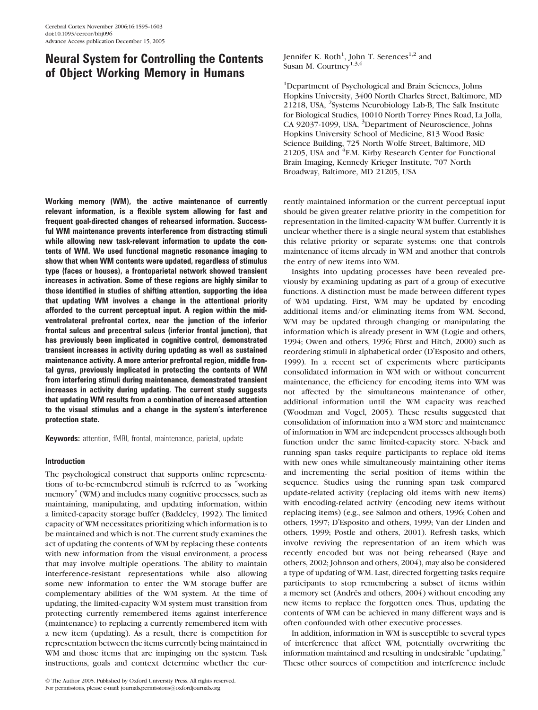# Neural System for Controlling the Contents of Object Working Memory in Humans

Working memory (WM), the active maintenance of currently relevant information, is a flexible system allowing for fast and frequent goal-directed changes of rehearsed information. Successful WM maintenance prevents interference from distracting stimuli while allowing new task-relevant information to update the contents of WM. We used functional magnetic resonance imaging to show that when WM contents were updated, regardless of stimulus type (faces or houses), a frontoparietal network showed transient increases in activation. Some of these regions are highly similar to those identified in studies of shifting attention, supporting the idea that updating WM involves a change in the attentional priority afforded to the current perceptual input. A region within the midventrolateral prefrontal cortex, near the junction of the inferior frontal sulcus and precentral sulcus (inferior frontal junction), that has previously been implicated in cognitive control, demonstrated transient increases in activity during updating as well as sustained maintenance activity. A more anterior prefrontal region, middle frontal gyrus, previously implicated in protecting the contents of WM from interfering stimuli during maintenance, demonstrated transient increases in activity during updating. The current study suggests that updating WM results from a combination of increased attention to the visual stimulus and a change in the system's interference protection state.

Keywords: attention, fMRI, frontal, maintenance, parietal, update

# Introduction

The psychological construct that supports online representations of to-be-remembered stimuli is referred to as ''working memory'' (WM) and includes many cognitive processes, such as maintaining, manipulating, and updating information, within a limited-capacity storage buffer (Baddeley, 1992). The limited capacity of WM necessitates prioritizing which information is to be maintained and which is not. The current study examines the act of updating the contents of WM by replacing these contents with new information from the visual environment, a process that may involve multiple operations. The ability to maintain interference-resistant representations while also allowing some new information to enter the WM storage buffer are complementary abilities of the WM system. At the time of updating, the limited-capacity WM system must transition from protecting currently remembered items against interference (maintenance) to replacing a currently remembered item with a new item (updating). As a result, there is competition for representation between the items currently being maintained in WM and those items that are impinging on the system. Task instructions, goals and context determine whether the cur-

Jennifer K. Roth<sup>1</sup>, John T. Serences<sup>1,2</sup> and Susan M. Courtney<sup>1,3,4</sup>

<sup>1</sup>Department of Psychological and Brain Sciences, Johns Hopkins University, 3400 North Charles Street, Baltimore, MD 21218, USA, <sup>2</sup>Systems Neurobiology Lab-B, The Salk Institute for Biological Studies, 10010 North Torrey Pines Road, La Jolla, CA 92037-1099, USA, <sup>3</sup>Department of Neuroscience, Johns Hopkins University School of Medicine, 813 Wood Basic Science Building, 725 North Wolfe Street, Baltimore, MD 21205, USA and <sup>4</sup>F.M. Kirby Research Center for Functional Brain Imaging, Kennedy Krieger Institute, 707 North Broadway, Baltimore, MD 21205, USA

rently maintained information or the current perceptual input should be given greater relative priority in the competition for representation in the limited-capacity WM buffer. Currently it is unclear whether there is a single neural system that establishes this relative priority or separate systems: one that controls maintenance of items already in WM and another that controls the entry of new items into WM.

Insights into updating processes have been revealed previously by examining updating as part of a group of executive functions. A distinction must be made between different types of WM updating. First, WM may be updated by encoding additional items and/or eliminating items from WM. Second, WM may be updated through changing or manipulating the information which is already present in WM (Logie and others, 1994; Owen and others, 1996; Fürst and Hitch, 2000) such as reordering stimuli in alphabetical order (D'Esposito and others, 1999). In a recent set of experiments where participants consolidated information in WM with or without concurrent maintenance, the efficiency for encoding items into WM was not affected by the simultaneous maintenance of other, additional information until the WM capacity was reached (Woodman and Vogel, 2005). These results suggested that consolidation of information into a WM store and maintenance of information in WM are independent processes although both function under the same limited-capacity store. N-back and running span tasks require participants to replace old items with new ones while simultaneously maintaining other items and incrementing the serial position of items within the sequence. Studies using the running span task compared update-related activity (replacing old items with new items) with encoding-related activity (encoding new items without replacing items) (e.g., see Salmon and others, 1996; Cohen and others, 1997; D'Esposito and others, 1999; Van der Linden and others, 1999; Postle and others, 2001). Refresh tasks, which involve reviving the representation of an item which was recently encoded but was not being rehearsed (Raye and others, 2002; Johnson and others, 2004), may also be considered a type of updating of WM. Last, directed forgetting tasks require participants to stop remembering a subset of items within a memory set (Andrés and others, 2004) without encoding any new items to replace the forgotten ones. Thus, updating the contents of WM can be achieved in many different ways and is often confounded with other executive processes.

In addition, information in WM is susceptible to several types of interference that affect WM, potentially overwriting the information maintained and resulting in undesirable ''updating.'' These other sources of competition and interference include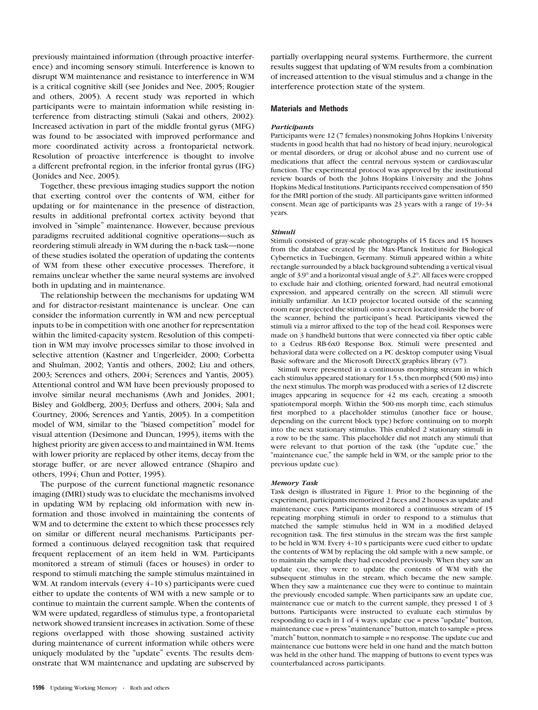previously maintained information (through proactive interference) and incoming sensory stimuli. Interference is known to disrupt WM maintenance and resistance to interference in WM is a critical cognitive skill (see Jonides and Nee, 2005; Rougier and others, 2005). A recent study was reported in which participants were to maintain information while resisting interference from distracting stimuli (Sakai and others, 2002). Increased activation in part of the middle frontal gyrus (MFG) was found to be associated with improved performance and more coordinated activity across a frontoparietal network. Resolution of proactive interference is thought to involve a different prefrontal region, in the inferior frontal gyrus (IFG) (Jonides and Nee, 2005).

Together, these previous imaging studies support the notion that exerting control over the contents of WM, either for updating or for maintenance in the presence of distraction, results in additional prefrontal cortex activity beyond that involved in ''simple'' maintenance. However, because previous paradigms recruited additional cognitive operations—such as reordering stimuli already in WM during the n-back task—none of these studies isolated the operation of updating the contents of WM from these other executive processes. Therefore, it remains unclear whether the same neural systems are involved both in updating and in maintenance.

The relationship between the mechanisms for updating WM and for distractor-resistant maintenance is unclear. One can consider the information currently in WM and new perceptual inputs to be in competition with one another for representation within the limited-capacity system. Resolution of this competition in WM may involve processes similar to those involved in selective attention (Kastner and Ungerleider, 2000; Corbetta and Shulman, 2002; Yantis and others, 2002; Liu and others, 2003; Serences and others, 2004; Serences and Yantis, 2005). Attentional control and WM have been previously proposed to involve similar neural mechanisms (Awh and Jonides, 2001; Bisley and Goldberg, 2003; Derfuss and others, 2004; Sala and Courtney, 2006; Serences and Yantis, 2005). In a competition model of WM, similar to the ''biased competition'' model for visual attention (Desimone and Duncan, 1995), items with the highest priority are given access to and maintained in WM. Items with lower priority are replaced by other items, decay from the storage buffer, or are never allowed entrance (Shapiro and others, 1994; Chun and Potter, 1995).

The purpose of the current functional magnetic resonance imaging (fMRI) study was to elucidate the mechanisms involved in updating WM by replacing old information with new information and those involved in maintaining the contents of WM and to determine the extent to which these processes rely on similar or different neural mechanisms. Participants performed a continuous delayed recognition task that required frequent replacement of an item held in WM. Participants monitored a stream of stimuli (faces or houses) in order to respond to stimuli matching the sample stimulus maintained in WM. At random intervals (every 4-10 s) participants were cued either to update the contents of WM with a new sample or to continue to maintain the current sample. When the contents of WM were updated, regardless of stimulus type, a frontoparietal network showed transient increases in activation. Some of these regions overlapped with those showing sustained activity during maintenance of current information while others were uniquely modulated by the "update" events. The results demonstrate that WM maintenance and updating are subserved by

partially overlapping neural systems. Furthermore, the current results suggest that updating of WM results from a combination of increased attention to the visual stimulus and a change in the interference protection state of the system.

# Materials and Methods

### **Participants**

Participants were 12 (7 females) nonsmoking Johns Hopkins University students in good health that had no history of head injury, neurological or mental disorders, or drug or alcohol abuse and no current use of medications that affect the central nervous system or cardiovascular function. The experimental protocol was approved by the institutional review boards of both the Johns Hopkins University and the Johns Hopkins Medical Institutions. Participants received compensation of \$50 for the fMRI portion of the study. All participants gave written informed consent. Mean age of participants was 23 years with a range of 19-34 years.

### Stimuli

Stimuli consisted of gray-scale photographs of 15 faces and 15 houses from the database created by the Max-Planck Institute for Biological Cybernetics in Tuebingen, Germany. Stimuli appeared within a white rectangle surrounded by a black background subtending a vertical visual angle of 3.9° and a horizontal visual angle of 3.2°. All faces were cropped to exclude hair and clothing, oriented forward, had neutral emotional expression, and appeared centrally on the screen. All stimuli were initially unfamiliar. An LCD projector located outside of the scanning room rear projected the stimuli onto a screen located inside the bore of the scanner, behind the participant's head. Participants viewed the stimuli via a mirror affixed to the top of the head coil. Responses were made on 3 handheld buttons that were connected via fiber optic cable to a Cedrus RB-6x0 Response Box. Stimuli were presented and behavioral data were collected on a PC desktop computer using Visual Basic software and the Microsoft DirectX graphics library (v7).

Stimuli were presented in a continuous morphing stream in which each stimulus appeared stationary for 1.5 s, then morphed (500 ms) into the next stimulus. The morph was produced with a series of 12 discrete images appearing in sequence for 42 ms each, creating a smooth spatiotemporal morph. Within the 500-ms morph time, each stimulus first morphed to a placeholder stimulus (another face or house, depending on the current block type) before continuing on to morph into the next stationary stimulus. This enabled 2 stationary stimuli in a row to be the same. This placeholder did not match any stimuli that were relevant to that portion of the task (the "update cue," the "maintenance cue," the sample held in WM, or the sample prior to the previous update cue).

#### Memory Task

Task design is illustrated in Figure 1. Prior to the beginning of the experiment, participants memorized 2 faces and 2 houses as update and maintenance cues. Participants monitored a continuous stream of 15 repeating morphing stimuli in order to respond to a stimulus that matched the sample stimulus held in WM in a modified delayed recognition task. The first stimulus in the stream was the first sample to be held in WM. Every 4-10 s participants were cued either to update the contents of WM by replacing the old sample with a new sample, or to maintain the sample they had encoded previously. When they saw an update cue, they were to update the contents of WM with the subsequent stimulus in the stream, which became the new sample. When they saw a maintenance cue they were to continue to maintain the previously encoded sample. When participants saw an update cue, maintenance cue or match to the current sample, they pressed 1 of 3 buttons. Participants were instructed to evaluate each stimulus by responding to each in 1 of 4 ways: update cue = press ''update'' button, maintenance cue = press "maintenance" button, match to sample = press "match" button, nonmatch to sample = no response. The update cue and maintenance cue buttons were held in one hand and the match button was held in the other hand. The mapping of buttons to event types was counterbalanced across participants.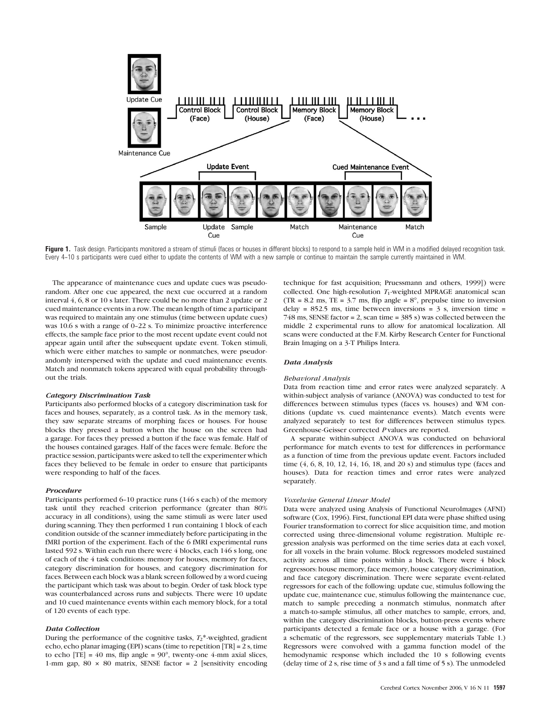

Figure 1. Task design. Participants monitored a stream of stimuli (faces or houses in different blocks) to respond to a sample held in WM in a modified delayed recognition task. Every 4-10 s participants were cued either to update the contents of WM with a new sample or continue to maintain the sample currently maintained in WM.

The appearance of maintenance cues and update cues was pseudorandom. After one cue appeared, the next cue occurred at a random interval 4, 6, 8 or 10 s later. There could be no more than 2 update or 2 cued maintenance events in a row. The mean length of time a participant was required to maintain any one stimulus (time between update cues) was 10.6 s with a range of 0-22 s. To minimize proactive interference effects, the sample face prior to the most recent update event could not appear again until after the subsequent update event. Token stimuli, which were either matches to sample or nonmatches, were pseudorandomly interspersed with the update and cued maintenance events. Match and nonmatch tokens appeared with equal probability throughout the trials.

## Category Discrimination Task

Participants also performed blocks of a category discrimination task for faces and houses, separately, as a control task. As in the memory task, they saw separate streams of morphing faces or houses. For house blocks they pressed a button when the house on the screen had a garage. For faces they pressed a button if the face was female. Half of the houses contained garages. Half of the faces were female. Before the practice session, participants were asked to tell the experimenter which faces they believed to be female in order to ensure that participants were responding to half of the faces.

#### Procedure

Participants performed  $6-10$  practice runs (146 s each) of the memory task until they reached criterion performance (greater than 80% accuracy in all conditions), using the same stimuli as were later used during scanning. They then performed 1 run containing 1 block of each condition outside of the scanner immediately before participating in the fMRI portion of the experiment. Each of the 6 fMRI experimental runs lasted 592 s. Within each run there were 4 blocks, each 146 s long, one of each of the 4 task conditions: memory for houses, memory for faces, category discrimination for houses, and category discrimination for faces. Between each block was a blank screen followed by a word cueing the participant which task was about to begin. Order of task block type was counterbalanced across runs and subjects. There were 10 update and 10 cued maintenance events within each memory block, for a total of 120 events of each type.

### Data Collection

During the performance of the cognitive tasks,  $T_2^*$ -weighted, gradient echo, echo planar imaging (EPI) scans (time to repetition [TR] = 2 s, time to echo  $[TE] = 40$  ms, flip angle =  $90^{\circ}$ , twenty-one 4-mm axial slices, 1-mm gap,  $80 \times 80$  matrix, SENSE factor = 2 [sensitivity encoding technique for fast acquisition; Pruessmann and others, 1999]) were collected. One high-resolution  $T_1$ -weighted MPRAGE anatomical scan  $(TR = 8.2 \text{ ms}, TE = 3.7 \text{ ms}, flip angle = 8^\circ, prepulse time to inversion$ delay = 852.5 ms, time between inversions =  $3 \text{ s}$ , inversion time = 748 ms, SENSE factor = 2, scan time = 385 s) was collected between the middle 2 experimental runs to allow for anatomical localization. All scans were conducted at the F.M. Kirby Research Center for Functional Brain Imaging on a 3-T Philips Intera.

#### Data Analysis

#### Behavioral Analysis

Data from reaction time and error rates were analyzed separately. A within-subject analysis of variance (ANOVA) was conducted to test for differences between stimulus types (faces vs. houses) and WM conditions (update vs. cued maintenance events). Match events were analyzed separately to test for differences between stimulus types. Greenhouse-Geisser corrected P values are reported.

A separate within-subject ANOVA was conducted on behavioral performance for match events to test for differences in performance as a function of time from the previous update event. Factors included time (4, 6, 8, 10, 12, 14, 16, 18, and 20 s) and stimulus type (faces and houses). Data for reaction times and error rates were analyzed separately.

#### Voxelwise General Linear Model

Data were analyzed using Analysis of Functional NeuroImages (AFNI) software (Cox, 1996). First, functional EPI data were phase shifted using Fourier transformation to correct for slice acquisition time, and motion corrected using three-dimensional volume registration. Multiple regression analysis was performed on the time series data at each voxel, for all voxels in the brain volume. Block regressors modeled sustained activity across all time points within a block. There were 4 block regressors: house memory, face memory, house category discrimination, and face category discrimination. There were separate event-related regressors for each of the following: update cue, stimulus following the update cue, maintenance cue, stimulus following the maintenance cue, match to sample preceding a nonmatch stimulus, nonmatch after a match-to-sample stimulus, all other matches to sample, errors, and, within the category discrimination blocks, button-press events where participants detected a female face or a house with a garage. (For a schematic of the regressors, see supplementary materials Table 1.) Regressors were convolved with a gamma function model of the hemodynamic response which included the 10 s following events (delay time of 2 s, rise time of 3 s and a fall time of 5 s). The unmodeled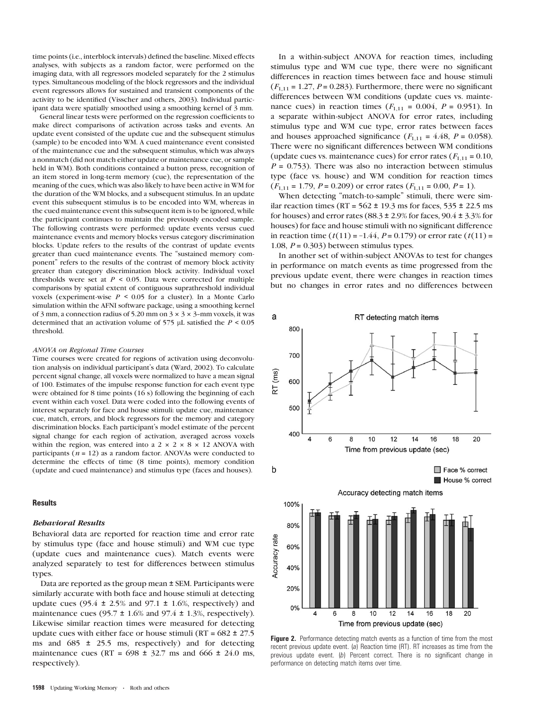time points (i.e., interblock intervals) defined the baseline. Mixed effects analyses, with subjects as a random factor, were performed on the imaging data, with all regressors modeled separately for the 2 stimulus types. Simultaneous modeling of the block regressors and the individual event regressors allows for sustained and transient components of the activity to be identified (Visscher and others, 2003). Individual participant data were spatially smoothed using a smoothing kernel of 3 mm.

General linear tests were performed on the regression coefficients to make direct comparisons of activation across tasks and events. An update event consisted of the update cue and the subsequent stimulus (sample) to be encoded into WM. A cued maintenance event consisted of the maintenance cue and the subsequent stimulus, which was always a nonmatch (did not match either update or maintenance cue, or sample held in WM). Both conditions contained a button press, recognition of an item stored in long-term memory (cue), the representation of the meaning of the cues, which was also likely to have been active in WM for the duration of the WM blocks, and a subsequent stimulus. In an update event this subsequent stimulus is to be encoded into WM, whereas in the cued maintenance event this subsequent item is to be ignored, while the participant continues to maintain the previously encoded sample. The following contrasts were performed: update events versus cued maintenance events and memory blocks versus category discrimination blocks. Update refers to the results of the contrast of update events greater than cued maintenance events. The ''sustained memory component'' refers to the results of the contrast of memory block activity greater than category discrimination block activity. Individual voxel thresholds were set at  $P < 0.05$ . Data were corrected for multiple comparisons by spatial extent of contiguous suprathreshold individual voxels (experiment-wise  $P \le 0.05$  for a cluster). In a Monte Carlo simulation within the AFNI software package, using a smoothing kernel of 3 mm, a connection radius of 5.20 mm on  $3 \times 3 \times 3$ -mm voxels, it was determined that an activation volume of 575 *l*L satisfied the P < 0.05 threshold.

#### ANOVA on Regional Time Courses

Time courses were created for regions of activation using deconvolution analysis on individual participant's data (Ward, 2002). To calculate percent signal change, all voxels were normalized to have a mean signal of 100. Estimates of the impulse response function for each event type were obtained for 8 time points (16 s) following the beginning of each event within each voxel. Data were coded into the following events of interest separately for face and house stimuli: update cue, maintenance cue, match, errors, and block regressors for the memory and category discrimination blocks. Each participant's model estimate of the percent signal change for each region of activation, averaged across voxels within the region, was entered into a  $2 \times 2 \times 8 \times 12$  ANOVA with participants ( $n = 12$ ) as a random factor. ANOVAs were conducted to determine the effects of time (8 time points), memory condition (update and cued maintenance) and stimulus type (faces and houses).

#### Results

# Behavioral Results

Behavioral data are reported for reaction time and error rate by stimulus type (face and house stimuli) and WM cue type (update cues and maintenance cues). Match events were analyzed separately to test for differences between stimulus types.

Data are reported as the group mean ± SEM. Participants were similarly accurate with both face and house stimuli at detecting update cues (95.4  $\pm$  2.5% and 97.1  $\pm$  1.6%, respectively) and maintenance cues (95.7  $\pm$  1.6% and 97.4  $\pm$  1.3%, respectively). Likewise similar reaction times were measured for detecting update cues with either face or house stimuli ( $RT = 682 \pm 27.5$ ms and  $685 \pm 25.5$  ms, respectively) and for detecting maintenance cues (RT =  $698 \pm 32.7$  ms and  $666 \pm 24.0$  ms, respectively).

In a within-subject ANOVA for reaction times, including stimulus type and WM cue type, there were no significant differences in reaction times between face and house stimuli  $(F<sub>1,11</sub> = 1.27, P = 0.283)$ . Furthermore, there were no significant differences between WM conditions (update cues vs. maintenance cues) in reaction times  $(F_{1,11} = 0.004, P = 0.951)$ . In a separate within-subject ANOVA for error rates, including stimulus type and WM cue type, error rates between faces and houses approached significance  $(F_{1,11} = 4.48, P = 0.058)$ . There were no significant differences between WM conditions (update cues vs. maintenance cues) for error rates  $(F_{1,11} = 0.10,$  $P = 0.753$ ). There was also no interaction between stimulus type (face vs. house) and WM condition for reaction times  $(F_{1,11} = 1.79, P = 0.209)$  or error rates  $(F_{1,11} = 0.00, P = 1)$ .

When detecting "match-to-sample" stimuli, there were similar reaction times (RT =  $562 \pm 19.3$  ms for faces,  $535 \pm 22.5$  ms for houses) and error rates  $(88.3 \pm 2.9\%$  for faces,  $90.4 \pm 3.3\%$  for houses) for face and house stimuli with no significant difference in reaction time  $(t(11) = -1.44, P = 0.179)$  or error rate  $(t(11) =$ 1.08,  $P = 0.303$ ) between stimulus types.

In another set of within-subject ANOVAs to test for changes in performance on match events as time progressed from the previous update event, there were changes in reaction times but no changes in error rates and no differences between



Figure 2. Performance detecting match events as a function of time from the most recent previous update event. (a) Reaction time (RT). RT increases as time from the previous update event. (b) Percent correct. There is no significant change in performance on detecting match items over time.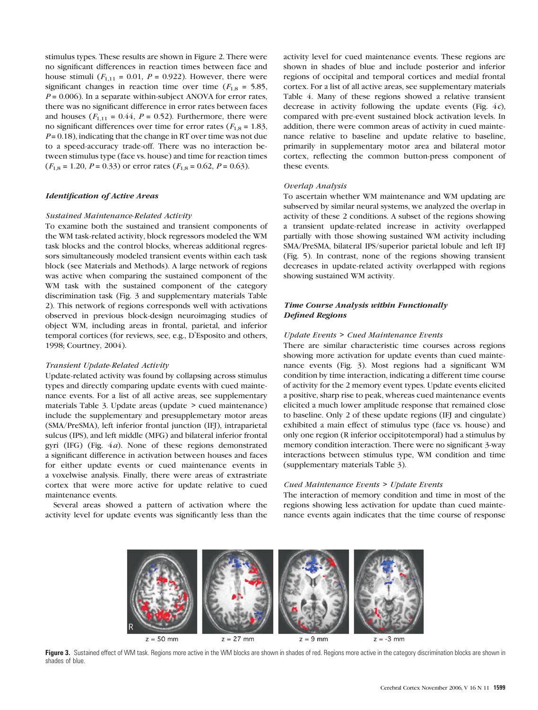stimulus types. These results are shown in Figure 2. There were no significant differences in reaction times between face and house stimuli  $(F_{1,11} = 0.01, P = 0.922)$ . However, there were significant changes in reaction time over time ( $F_{1,8} = 5.85$ ,  $P = 0.006$ ). In a separate within-subject ANOVA for error rates, there was no significant difference in error rates between faces and houses ( $F_{1,11} = 0.44$ ,  $P = 0.52$ ). Furthermore, there were no significant differences over time for error rates ( $F_{1,8} = 1.83$ ,  $P = 0.18$ ), indicating that the change in RT over time was not due to a speed-accuracy trade-off. There was no interaction between stimulus type (face vs. house) and time for reaction times  $(F<sub>1,8</sub> = 1.20, P = 0.33)$  or error rates  $(F<sub>1,8</sub> = 0.62, P = 0.63)$ .

# Identification of Active Areas

### Sustained Maintenance-Related Activity

To examine both the sustained and transient components of the WM task-related activity, block regressors modeled the WM task blocks and the control blocks, whereas additional regressors simultaneously modeled transient events within each task block (see Materials and Methods). A large network of regions was active when comparing the sustained component of the WM task with the sustained component of the category discrimination task (Fig. 3 and supplementary materials Table 2). This network of regions corresponds well with activations observed in previous block-design neuroimaging studies of object WM, including areas in frontal, parietal, and inferior temporal cortices (for reviews, see, e.g., D'Esposito and others, 1998; Courtney, 2004).

# Transient Update-Related Activity

Update-related activity was found by collapsing across stimulus types and directly comparing update events with cued maintenance events. For a list of all active areas, see supplementary materials Table 3. Update areas (update > cued maintenance) include the supplementary and presupplemetary motor areas (SMA/PreSMA), left inferior frontal junction (IFJ), intraparietal sulcus (IPS), and left middle (MFG) and bilateral inferior frontal gyri (IFG) (Fig. 4a). None of these regions demonstrated a significant difference in activation between houses and faces for either update events or cued maintenance events in a voxelwise analysis. Finally, there were areas of extrastriate cortex that were more active for update relative to cued maintenance events.

Several areas showed a pattern of activation where the activity level for update events was significantly less than the

activity level for cued maintenance events. These regions are shown in shades of blue and include posterior and inferior regions of occipital and temporal cortices and medial frontal cortex. For a list of all active areas, see supplementary materials Table 4. Many of these regions showed a relative transient decrease in activity following the update events (Fig.  $4c$ ), compared with pre-event sustained block activation levels. In addition, there were common areas of activity in cued maintenance relative to baseline and update relative to baseline, primarily in supplementary motor area and bilateral motor cortex, reflecting the common button-press component of these events.

### Overlap Analysis

To ascertain whether WM maintenance and WM updating are subserved by similar neural systems, we analyzed the overlap in activity of these 2 conditions. A subset of the regions showing a transient update-related increase in activity overlapped partially with those showing sustained WM activity including SMA/PreSMA, bilateral IPS/superior parietal lobule and left IFJ (Fig. 5). In contrast, none of the regions showing transient decreases in update-related activity overlapped with regions showing sustained WM activity.

# Time Course Analysis within Functionally Defined Regions

### Update Events > Cued Maintenance Events

There are similar characteristic time courses across regions showing more activation for update events than cued maintenance events (Fig. 3). Most regions had a significant WM condition by time interaction, indicating a different time course of activity for the 2 memory event types. Update events elicited a positive, sharp rise to peak, whereas cued maintenance events elicited a much lower amplitude response that remained close to baseline. Only 2 of these update regions (IFJ and cingulate) exhibited a main effect of stimulus type (face vs. house) and only one region (R inferior occipitotemporal) had a stimulus by memory condition interaction. There were no significant 3-way interactions between stimulus type, WM condition and time (supplementary materials Table 3).

### Cued Maintenance Events > Update Events

The interaction of memory condition and time in most of the regions showing less activation for update than cued maintenance events again indicates that the time course of response



Figure 3. Sustained effect of WM task. Regions more active in the WM blocks are shown in shades of red. Regions more active in the category discrimination blocks are shown in shades of blue.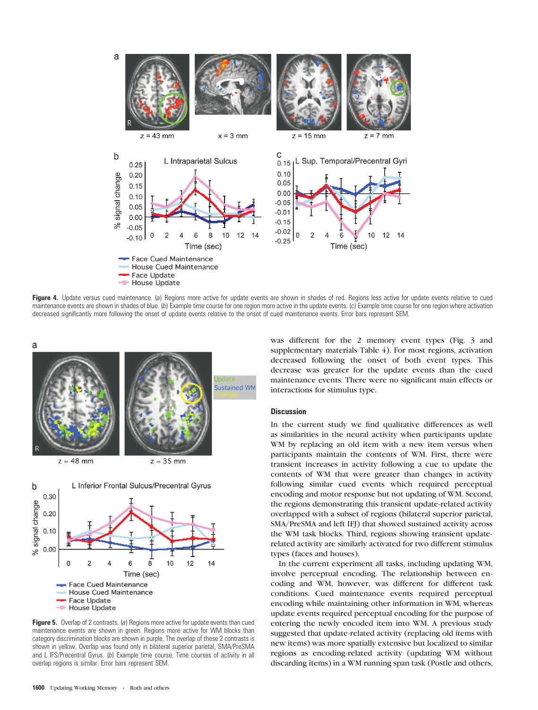

Figure 4. Update versus cued maintenance. (a) Regions more active for update events are shown in shades of red. Regions less active for update events relative to cued maintenance events are shown in shades of blue. (b) Example time course for one region more active in the update events. (c) Example time course for one region where activation decreased significantly more following the onset of update events relative to the onset of cued maintenance events. Error bars represent SEM.



Figure 5. Overlap of 2 contrasts. (a) Regions more active for update events than cued maintenance events are shown in green. Regions more active for WM blocks than category discrimination blocks are shown in purple. The overlap of these 2 contrasts is shown in yellow. Overlap was found only in bilateral superior parietal, SMA/PreSMA and L IFS/Precentral Gyrus. (b) Example time course. Time courses of activity in all overlap regions is similar. Error bars represent SEM.

was different for the 2 memory event types (Fig. 3 and supplementary materials Table 4). For most regions, activation decreased following the onset of both event types. This decrease was greater for the update events than the cued maintenance events. There were no significant main effects or interactions for stimulus type.

### **Discussion**

In the current study we find qualitative differences as well as similarities in the neural activity when participants update WM by replacing an old item with a new item versus when participants maintain the contents of WM. First, there were transient increases in activity following a cue to update the contents of WM that were greater than changes in activity following similar cued events which required perceptual encoding and motor response but not updating of WM. Second, the regions demonstrating this transient update-related activity overlapped with a subset of regions (bilateral superior parietal, SMA/PreSMA and left IFJ) that showed sustained activity across the WM task blocks. Third, regions showing transient updaterelated activity are similarly activated for two different stimulus types (faces and houses).

In the current experiment all tasks, including updating WM, involve perceptual encoding. The relationship between encoding and WM, however, was different for different task conditions. Cued maintenance events required perceptual encoding while maintaining other information in WM, whereas update events required perceptual encoding for the purpose of entering the newly encoded item into WM. A previous study suggested that update-related activity (replacing old items with new items) was more spatially extensive but localized to similar regions as encoding-related activity (updating WM without discarding items) in a WM running span task (Postle and others,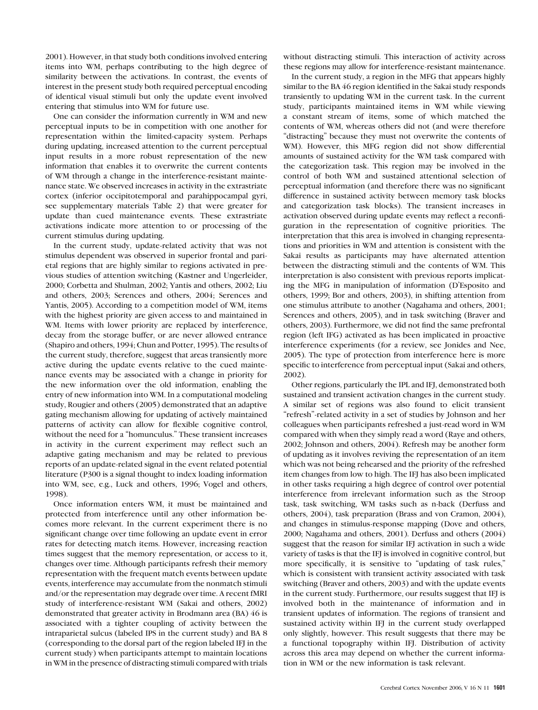2001). However, in that study both conditions involved entering items into WM, perhaps contributing to the high degree of similarity between the activations. In contrast, the events of interest in the present study both required perceptual encoding of identical visual stimuli but only the update event involved entering that stimulus into WM for future use.

One can consider the information currently in WM and new perceptual inputs to be in competition with one another for representation within the limited-capacity system. Perhaps during updating, increased attention to the current perceptual input results in a more robust representation of the new information that enables it to overwrite the current contents of WM through a change in the interference-resistant maintenance state. We observed increases in activity in the extrastriate cortex (inferior occipitotemporal and parahippocampal gyri, see supplementary materials Table 2) that were greater for update than cued maintenance events. These extrastriate activations indicate more attention to or processing of the current stimulus during updating.

In the current study, update-related activity that was not stimulus dependent was observed in superior frontal and parietal regions that are highly similar to regions activated in previous studies of attention switching (Kastner and Ungerleider, 2000; Corbetta and Shulman, 2002; Yantis and others, 2002; Liu and others, 2003; Serences and others, 2004; Serences and Yantis, 2005). According to a competition model of WM, items with the highest priority are given access to and maintained in WM. Items with lower priority are replaced by interference, decay from the storage buffer, or are never allowed entrance (Shapiro and others, 1994; Chun and Potter, 1995). The results of the current study, therefore, suggest that areas transiently more active during the update events relative to the cued maintenance events may be associated with a change in priority for the new information over the old information, enabling the entry of new information into WM. In a computational modeling study, Rougier and others (2005) demonstrated that an adaptive gating mechanism allowing for updating of actively maintained patterns of activity can allow for flexible cognitive control, without the need for a ''homunculus.'' These transient increases in activity in the current experiment may reflect such an adaptive gating mechanism and may be related to previous reports of an update-related signal in the event related potential literature (P300 is a signal thought to index loading information into WM, see, e.g., Luck and others, 1996; Vogel and others, 1998).

Once information enters WM, it must be maintained and protected from interference until any other information becomes more relevant. In the current experiment there is no significant change over time following an update event in error rates for detecting match items. However, increasing reaction times suggest that the memory representation, or access to it, changes over time. Although participants refresh their memory representation with the frequent match events between update events, interference may accumulate from the nonmatch stimuli and/or the representation may degrade over time. A recent fMRI study of interference-resistant WM (Sakai and others, 2002) demonstrated that greater activity in Brodmann area (BA) 46 is associated with a tighter coupling of activity between the intraparietal sulcus (labeled IPS in the current study) and BA 8 (corresponding to the dorsal part of the region labeled IFJ in the current study) when participants attempt to maintain locations in WM in the presence of distracting stimuli compared with trials

without distracting stimuli. This interaction of activity across these regions may allow for interference-resistant maintenance.

In the current study, a region in the MFG that appears highly similar to the BA 46 region identified in the Sakai study responds transiently to updating WM in the current task. In the current study, participants maintained items in WM while viewing a constant stream of items, some of which matched the contents of WM, whereas others did not (and were therefore ''distracting'' because they must not overwrite the contents of WM). However, this MFG region did not show differential amounts of sustained activity for the WM task compared with the categorization task. This region may be involved in the control of both WM and sustained attentional selection of perceptual information (and therefore there was no significant difference in sustained activity between memory task blocks and categorization task blocks). The transient increases in activation observed during update events may reflect a reconfiguration in the representation of cognitive priorities. The interpretation that this area is involved in changing representations and priorities in WM and attention is consistent with the Sakai results as participants may have alternated attention between the distracting stimuli and the contents of WM. This interpretation is also consistent with previous reports implicating the MFG in manipulation of information (D'Esposito and others, 1999; Bor and others, 2003), in shifting attention from one stimulus attribute to another (Nagahama and others, 2001; Serences and others, 2005), and in task switching (Braver and others, 2003). Furthermore, we did not find the same prefrontal region (left IFG) activated as has been implicated in proactive interference experiments (for a review, see Jonides and Nee, 2005). The type of protection from interference here is more specific to interference from perceptual input (Sakai and others, 2002).

Other regions, particularly the IPL and IFJ, demonstrated both sustained and transient activation changes in the current study. A similar set of regions was also found to elicit transient ''refresh''-related activity in a set of studies by Johnson and her colleagues when participants refreshed a just-read word in WM compared with when they simply read a word (Raye and others, 2002; Johnson and others, 2004). Refresh may be another form of updating as it involves reviving the representation of an item which was not being rehearsed and the priority of the refreshed item changes from low to high. The IFJ has also been implicated in other tasks requiring a high degree of control over potential interference from irrelevant information such as the Stroop task, task switching, WM tasks such as n-back (Derfuss and others, 2004), task preparation (Brass and von Cramon, 2004), and changes in stimulus-response mapping (Dove and others, 2000; Nagahama and others, 2001). Derfuss and others (2004) suggest that the reason for similar IFJ activation in such a wide variety of tasks is that the IFJ is involved in cognitive control, but more specifically, it is sensitive to ''updating of task rules,'' which is consistent with transient activity associated with task switching (Braver and others, 2003) and with the update events in the current study. Furthermore, our results suggest that IFJ is involved both in the maintenance of information and in transient updates of information. The regions of transient and sustained activity within IFJ in the current study overlapped only slightly, however. This result suggests that there may be a functional topography within IFJ. Distribution of activity across this area may depend on whether the current information in WM or the new information is task relevant.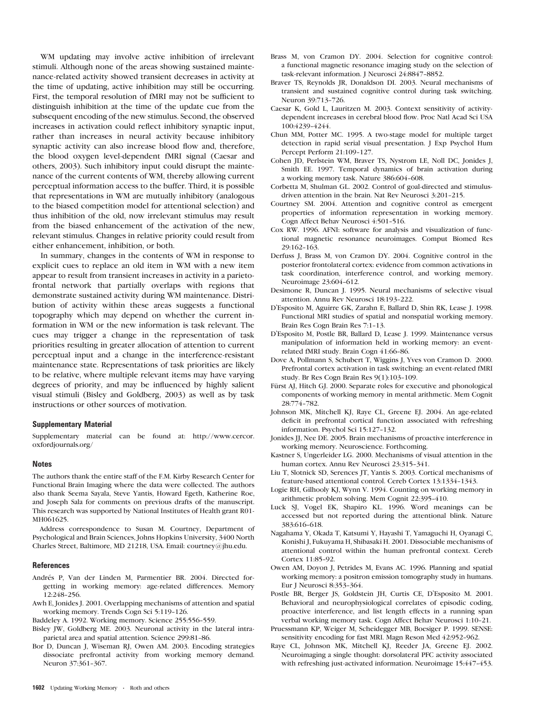WM updating may involve active inhibition of irrelevant stimuli. Although none of the areas showing sustained maintenance-related activity showed transient decreases in activity at the time of updating, active inhibition may still be occurring. First, the temporal resolution of fMRI may not be sufficient to distinguish inhibition at the time of the update cue from the subsequent encoding of the new stimulus. Second, the observed increases in activation could reflect inhibitory synaptic input, rather than increases in neural activity because inhibitory synaptic activity can also increase blood flow and, therefore, the blood oxygen level-dependent fMRI signal (Caesar and others, 2003). Such inhibitory input could disrupt the maintenance of the current contents of WM, thereby allowing current perceptual information access to the buffer. Third, it is possible that representations in WM are mutually inhibitory (analogous to the biased competition model for attentional selection) and thus inhibition of the old, now irrelevant stimulus may result from the biased enhancement of the activation of the new, relevant stimulus. Changes in relative priority could result from either enhancement, inhibition, or both.

In summary, changes in the contents of WM in response to explicit cues to replace an old item in WM with a new item appear to result from transient increases in activity in a parietofrontal network that partially overlaps with regions that demonstrate sustained activity during WM maintenance. Distribution of activity within these areas suggests a functional topography which may depend on whether the current information in WM or the new information is task relevant. The cues may trigger a change in the representation of task priorities resulting in greater allocation of attention to current perceptual input and a change in the interference-resistant maintenance state. Representations of task priorities are likely to be relative, where multiple relevant items may have varying degrees of priority, and may be influenced by highly salient visual stimuli (Bisley and Goldberg, 2003) as well as by task instructions or other sources of motivation.

### Supplementary Material

Supplementary material can be found at: [http://www.cercor.](http://www.cercor.oxfordjournals.org/) [oxfordjournals.org/](http://www.cercor.oxfordjournals.org/)

### **Notes**

The authors thank the entire staff of the F.M. Kirby Research Center for Functional Brain Imaging where the data were collected. The authors also thank Seema Sayala, Steve Yantis, Howard Egeth, Katherine Roe, and Joseph Sala for comments on previous drafts of the manuscript. This research was supported by National Institutes of Health grant R01- MH061625.

Address correspondence to Susan M. Courtney, Department of Psychological and Brain Sciences, Johns Hopkins University, 3400 North Charles Street, Baltimore, MD 21218, USA. Email: courtney@jhu.edu.

### **References**

- Andrés P, Van der Linden M, Parmentier BR. 2004. Directed forgetting in working memory: age-related differences. Memory 12:248-256
- Awh E, Jonides J. 2001. Overlapping mechanisms of attention and spatial working memory. Trends Cogn Sci 5:119-126.

Baddeley A. 1992. Working memory. Science 255:556-559.

- Bisley JW, Goldberg ME. 2003. Neuronal activity in the lateral intraparietal area and spatial attention. Science 299:81-86.
- Bor D, Duncan J, Wiseman RJ, Owen AM. 2003. Encoding strategies dissociate prefrontal activity from working memory demand. Neuron 37:361-367.
- Brass M, von Cramon DY. 2004. Selection for cognitive control: a functional magnetic resonance imaging study on the selection of task-relevant information. J Neurosci 24:8847-8852.
- Braver TS, Reynolds JR, Donaldson DI. 2003. Neural mechanisms of transient and sustained cognitive control during task switching. Neuron 39:713--726.
- Caesar K, Gold L, Lauritzen M. 2003. Context sensitivity of activitydependent increases in cerebral blood flow. Proc Natl Acad Sci USA 100:4239-4244
- Chun MM, Potter MC. 1995. A two-stage model for multiple target detection in rapid serial visual presentation. J Exp Psychol Hum Percept Perform 21:109-127.
- Cohen JD, Perlstein WM, Braver TS, Nystrom LE, Noll DC, Jonides J, Smith EE. 1997. Temporal dynamics of brain activation during a working memory task. Nature 386:604-608.
- Corbetta M, Shulman GL. 2002. Control of goal-directed and stimulusdriven attention in the brain. Nat Rev Neurosci 3:201-215.
- Courtney SM. 2004. Attention and cognitive control as emergent properties of information representation in working memory. Cogn Affect Behav Neurosci 4:501-516.
- Cox RW. 1996. AFNI: software for analysis and visualization of functional magnetic resonance neuroimages. Comput Biomed Res 29:162--163.
- Derfuss J, Brass M, von Cramon DY. 2004. Cognitive control in the posterior frontolateral cortex: evidence from common activations in task coordination, interference control, and working memory. Neuroimage 23:604-612.
- Desimone R, Duncan J. 1995. Neural mechanisms of selective visual attention. Annu Rev Neurosci 18:193-222.
- D'Esposito M, Aguirre GK, Zarahn E, Ballard D, Shin RK, Lease J. 1998. Functional MRI studies of spatial and nonspatial working memory. Brain Res Cogn Brain Res 7:1-13.
- D'Esposito M, Postle BR, Ballard D, Lease J. 1999. Maintenance versus manipulation of information held in working memory: an eventrelated fMRI study. Brain Cogn 41:66-86.
- Dove A, Pollmann S, Schubert T, Wiggins J, Yves von Cramon D. 2000. Prefrontal cortex activation in task switching: an event-related fMRI study. Br Res Cogn Brain Res 9(1):103--109.
- Fürst AJ, Hitch GJ. 2000. Separate roles for executive and phonological components of working memory in mental arithmetic. Mem Cognit 28:774--782.
- Johnson MK, Mitchell KJ, Raye CL, Greene EJ. 2004. An age-related deficit in prefrontal cortical function associated with refreshing information. Psychol Sci 15:127-132.
- Jonides JJ, Nee DE. 2005. Brain mechanisms of proactive interference in working memory. Neuroscience. Forthcoming.
- Kastner S, Ungerleider LG. 2000. Mechanisms of visual attention in the human cortex. Annu Rev Neurosci 23:315-341.
- Liu T, Slotnick SD, Serences JT, Yantis S. 2003. Cortical mechanisms of feature-based attentional control. Cereb Cortex 13:1334-1343.
- Logie RH, Gilhooly KJ, Wynn V. 1994. Counting on working memory in arithmetic problem solving. Mem Cognit 22:395-410.
- Luck SJ, Vogel EK, Shapiro KL. 1996. Word meanings can be accessed but not reported during the attentional blink. Nature 383:616-618.
- Nagahama Y, Okada T, Katsumi Y, Hayashi T, Yamaguchi H, Oyanagi C, Konishi J, Fukuyama H, Shibasaki H. 2001. Dissociable mechanisms of attentional control within the human prefrontal context. Cereb Cortex 11:85-92.
- Owen AM, Doyon J, Petrides M, Evans AC. 1996. Planning and spatial working memory: a positron emission tomography study in humans. Eur J Neurosci 8:353-364.
- Postle BR, Berger JS, Goldstein JH, Curtis CE, D'Esposito M. 2001. Behavioral and neurophysiological correlates of episodic coding, proactive interference, and list length effects in a running span verbal working memory task. Cogn Affect Behav Neurosci 1:10-21.
- Pruessmann KP, Weiger M, Scheidegger MB, Boesiger P. 1999. SENSE: sensitivity encoding for fast MRI. Magn Reson Med 42:952-962.
- Raye CL, Johnson MK, Mitchell KJ, Reeder JA, Greene EJ. 2002. Neuroimaging a single thought: dorsolateral PFC activity associated with refreshing just-activated information. Neuroimage 15:447-453.